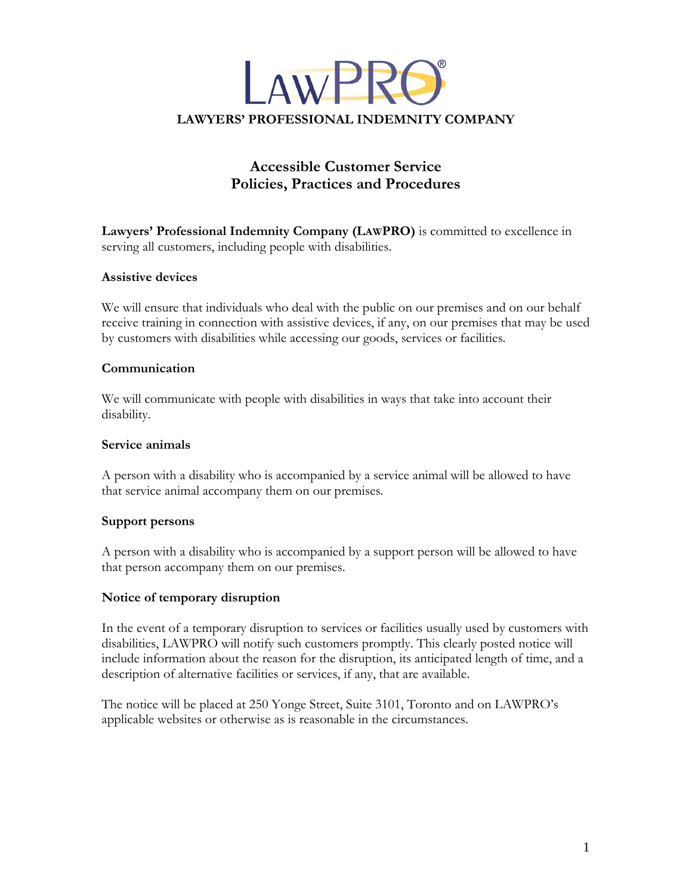

# **Accessible Customer Service Practices and Procedures**

**Professional Indemnity Company (LAWPRO)** is committed to excellence in serving all customers, including people with disabilities. **Assistive**

## **devices**  $\sum$

 will ensure that individuals who deal with the public on our premises and on our behalf receive training in connection with assistive devices, if any, on our premises that may be used we will ensure that individuals who dear with the public on our premises and on-<br>receive training in connection with assistive devices, if any, on our premises that if<br>by customers with disabilities while accessing our goo

### Communication

oon<br>We will communicate with people with disabilities in ways that take into account their disability.

## **animals**  $\overline{a}$

pervice annually<br>A person with a disability who is accompanied by a service animal will be allowed to have that service animal accompany them on our premises.

## **persons**  $\overline{a}$

A person with a disability who is accompanied by a support person will be allowed to have that person accompany them on our premises.

## **of temporary disruption**  $\ddot{\phantom{0}}$

 the event of <sup>a</sup> temporary disruption to services or facilities usually used by customers with disabilities, LAWPRO will notify such customers promptly. This clearly posted notice will In the event of a temporary disruption to services of facilities usually used by eustomers with<br>disabilities, LAWPRO will notify such customers promptly. This clearly posted notice will<br>include information about the reason description of alternative facilities or services, if any, that are available.

The notice will be placed at 250 Yonge Street, Suite 3101, Toronto and on LAWPRO's<br>applicable websites or otherwise as is reasonable in the circumstances.